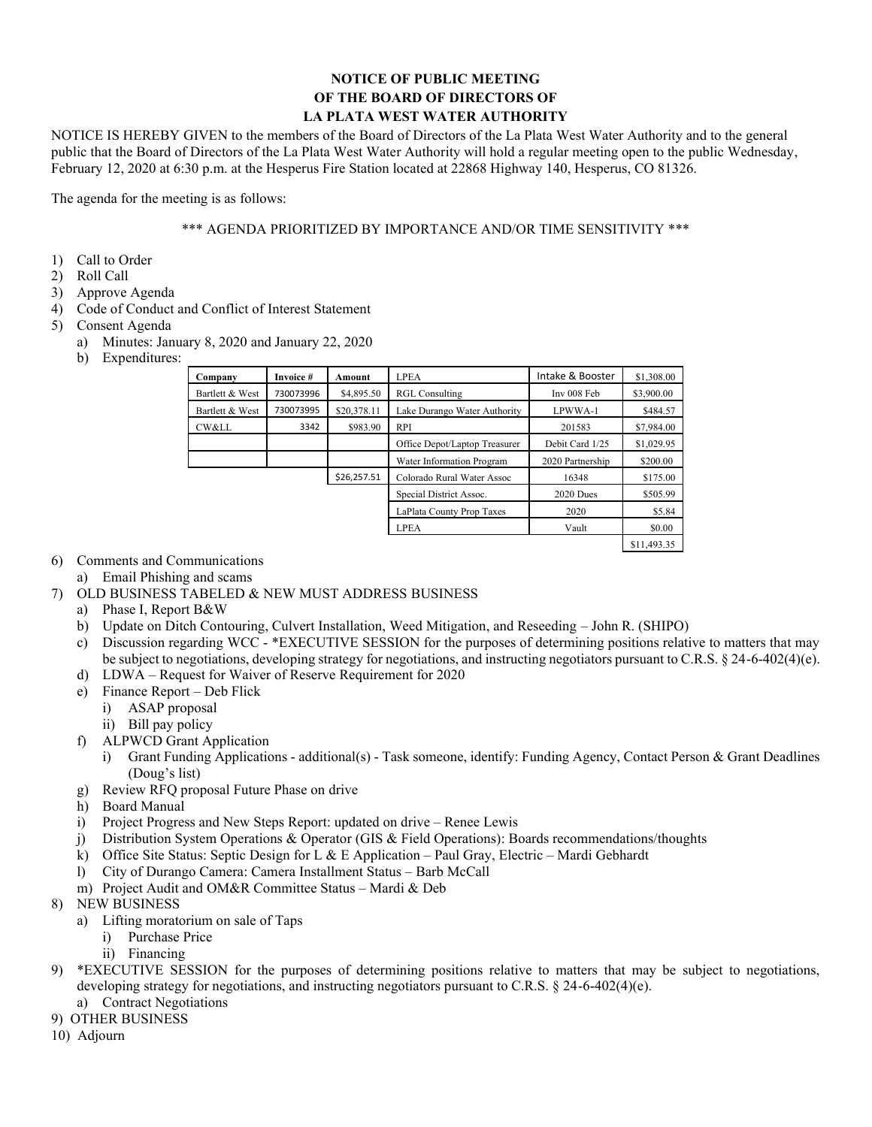## **NOTICE OF PUBLIC MEETING OF THE BOARD OF DIRECTORS OF LA PLATA WEST WATER AUTHORITY**

NOTICE IS HEREBY GIVEN to the members of the Board of Directors of the La Plata West Water Authority and to the general public that the Board of Directors of the La Plata West Water Authority will hold a regular meeting open to the public Wednesday, February 12, 2020 at 6:30 p.m. at the Hesperus Fire Station located at 22868 Highway 140, Hesperus, CO 81326.

The agenda for the meeting is as follows:

## \*\*\* AGENDA PRIORITIZED BY IMPORTANCE AND/OR TIME SENSITIVITY \*\*\*

- 1) Call to Order
- 2) Roll Call
- 3) Approve Agenda
- 4) Code of Conduct and Conflict of Interest Statement
- 5) Consent Agenda
	- a) Minutes: January 8, 2020 and January 22, 2020
	- b) Expenditures:

| Company         | Invoice # | Amount      | <b>LPEA</b>                   | Intake & Booster | \$1,308.00  |
|-----------------|-----------|-------------|-------------------------------|------------------|-------------|
| Bartlett & West | 730073996 | \$4,895.50  | <b>RGL Consulting</b>         | Inv 008 Feb      | \$3,900.00  |
| Bartlett & West | 730073995 | \$20,378.11 | Lake Durango Water Authority  | LPWWA-1          | \$484.57    |
| CW&LL           | 3342      | \$983.90    | <b>RPI</b>                    | 201583           | \$7,984.00  |
|                 |           |             | Office Depot/Laptop Treasurer | Debit Card 1/25  | \$1,029.95  |
|                 |           |             | Water Information Program     | 2020 Partnership | \$200.00    |
|                 |           | \$26,257.51 | Colorado Rural Water Assoc    | 16348            | \$175.00    |
|                 |           |             | Special District Assoc.       | 2020 Dues        | \$505.99    |
|                 |           |             | LaPlata County Prop Taxes     | 2020             | \$5.84      |
|                 |           |             | <b>LPEA</b>                   | Vault            | \$0.00      |
|                 |           |             |                               |                  | \$11,493.35 |

## 6) Comments and Communications

- a) Email Phishing and scams
- 7) OLD BUSINESS TABELED & NEW MUST ADDRESS BUSINESS
	- a) Phase I, Report B&W
	- b) Update on Ditch Contouring, Culvert Installation, Weed Mitigation, and Reseeding John R. (SHIPO)
	- c) Discussion regarding WCC \*EXECUTIVE SESSION for the purposes of determining positions relative to matters that may be subject to negotiations, developing strategy for negotiations, and instructing negotiators pursuant to C.R.S. § 24-6-402(4)(e).
	- d) LDWA Request for Waiver of Reserve Requirement for 2020
	- e) Finance Report Deb Flick
		- i) ASAP proposal
		- ii) Bill pay policy
	- f) ALPWCD Grant Application
		- i) Grant Funding Applications additional(s) Task someone, identify: Funding Agency, Contact Person & Grant Deadlines (Doug's list)
	- g) Review RFQ proposal Future Phase on drive
	- h) Board Manual
	- i) Project Progress and New Steps Report: updated on drive Renee Lewis
	- j) Distribution System Operations & Operator (GIS & Field Operations): Boards recommendations/thoughts
	- k) Office Site Status: Septic Design for L & E Application Paul Gray, Electric Mardi Gebhardt
	- l) City of Durango Camera: Camera Installment Status Barb McCall
	- m) Project Audit and OM&R Committee Status Mardi & Deb
- 8) NEW BUSINESS
	- a) Lifting moratorium on sale of Taps
		- i) Purchase Price
		- ii) Financing
- 9) \*EXECUTIVE SESSION for the purposes of determining positions relative to matters that may be subject to negotiations, developing strategy for negotiations, and instructing negotiators pursuant to C.R.S. § 24-6-402(4)(e).
	- a) Contract Negotiations
- 9) OTHER BUSINESS
- 10) Adjourn